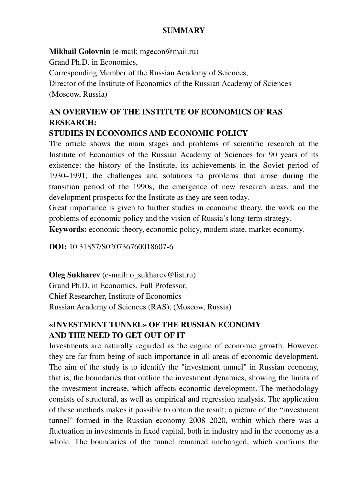#### **SUMMARY**

**Mikhail Golovnin** (e-mail: mgecon@mail.ru) Grand Ph.D. in Economics, Corresponding Member of the Russian Academy of Sciences, Director of the Institute of Economics of the Russian Academy of Sciences (Moscow, Russia)

# **AN OVERVIEW OF THE INSTITUTE OF ECONOMICS OF RAS RESEARCH:**

#### **STUDIES IN ECONOMICS AND ECONOMIC POLICY**

The article shows the main stages and problems of scientific research at the Institute of Economics of the Russian Academy of Sciences for 90 years of its existence: the history of the Institute, its achievements in the Soviet period of 1930–1991, the challenges and solutions to problems that arose during the transition period of the 1990s; the emergence of new research areas, and the development prospects for the Institute as they are seen today.

Great importance is given to further studies in economic theory, the work on the problems of economic policy and the vision of Russia's long-term strategy.

**Keywords:** economic theory, economic policy, modern state, market economy.

**DOI:** 10.31857/S020736760018607-6

**Oleg Sukharev** (e-mail: o\_sukharev@list.ru) Grand Ph.D. in Economics, Full Professor, Chief Researcher, Institute of Economics Russian Academy of Sciences (RAS), (Moscow, Russia)

## **«INVESTMENT TUNNEL» OF THE RUSSIAN ECONOMY AND THE NEED TO GET OUT OF IT**

Investments are naturally regarded as the engine of economic growth. However, they are far from being of such importance in all areas of economic development. The aim of the study is to identify the "investment tunnel" in Russian economy, that is, the boundaries that outline the investment dynamics, showing the limits of the investment increase, which affects economic development. The methodology consists of structural, as well as empirical and regression analysis. The application of these methods makes it possible to obtain the result: a picture of the "investment tunnel" formed in the Russian economy 2008–2020, within which there was a fluctuation in investments in fixed capital, both in industry and in the economy as a whole. The boundaries of the tunnel remained unchanged, which confirms the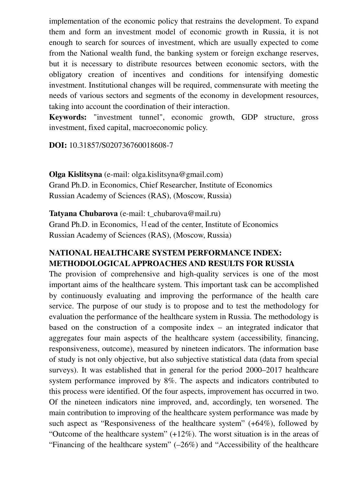implementation of the economic policy that restrains the development. To expand them and form an investment model of economic growth in Russia, it is not enough to search for sources of investment, which are usually expected to come from the National wealth fund, the banking system or foreign exchange reserves, but it is necessary to distribute resources between economic sectors, with the obligatory creation of incentives and conditions for intensifying domestic investment. Institutional changes will be required, commensurate with meeting the needs of various sectors and segments of the economy in development resources, taking into account the coordination of their interaction.

**Keywords:** "investment tunnel", economic growth, GDP structure, gross investment, fixed capital, macroeconomic policy.

**DOI:** 10.31857/S020736760018608-7

**Olga Kislitsyna** (e-mail: olga.kislitsyna@gmail.com) Grand Ph.D. in Economics, Chief Researcher, Institute of Economics Russian Academy of Sciences (RAS), (Moscow, Russia)

**Tatyana Chubarova** (e-mail: t\_chubarova@mail.ru) Grand Ph.D. in Economics, Нead of the center, Institute of Economics Russian Academy of Sciences (RAS), (Moscow, Russia)

## **NATIONAL HEALTHCARE SYSTEM PERFORMANCE INDEX: METHODOLOGICAL APPROACHES AND RESULTS FOR RUSSIA**

The provision of comprehensive and high-quality services is one of the most important aims of the healthcare system. This important task can be accomplished by continuously evaluating and improving the performance of the health care service. The purpose of our study is to propose and to test the methodology for evaluation the performance of the healthcare system in Russia. The methodology is based on the construction of a composite index – an integrated indicator that aggregates four main aspects of the healthcare system (accessibility, financing, responsiveness, outcome), measured by nineteen indicators. The information base of study is not only objective, but also subjective statistical data (data from special surveys). It was established that in general for the period 2000–2017 healthcare system performance improved by 8%. The aspects and indicators contributed to this process were identified. Of the four aspects, improvement has occurred in two. Of the nineteen indicators nine improved, and, accordingly, ten worsened. The main contribution to improving of the healthcare system performance was made by such aspect as "Responsiveness of the healthcare system" (+64%), followed by "Outcome of the healthcare system"  $(+12\%)$ . The worst situation is in the areas of "Financing of the healthcare system" (–26%) and "Accessibility of the healthcare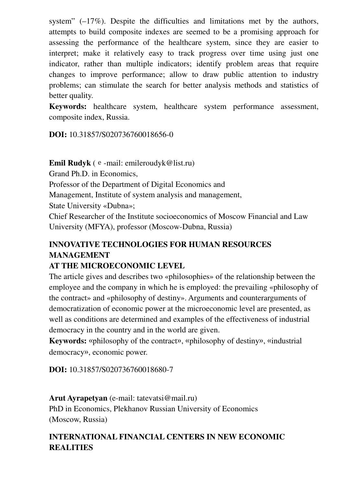system"  $(-17\%)$ . Despite the difficulties and limitations met by the authors, attempts to build composite indexes are seemed to be a promising approach for assessing the performance of the healthcare system, since they are easier to interpret; make it relatively easy to track progress over time using just one indicator, rather than multiple indicators; identify problem areas that require changes to improve performance; allow to draw public attention to industry problems; can stimulate the search for better analysis methods and statistics of better quality.

**Keywords:** healthcare system, healthcare system performance assessment, composite index, Russia.

**DOI:** 10.31857/S020736760018656-0

**Emil Rudyk** (е-mail: emileroudyk@list.ru)

Grand Ph.D. in Economics,

Professor of the Department of Digital Economics and

Management, Institute of system analysis and management,

State University «Dubna»;

Chief Researcher of the Institute socioeconomics of Moscow Financial and Law University (MFYA), professor (Moscow-Dubna, Russia)

# **INNOVATIVE TECHNOLOGIES FOR HUMAN RESOURCES MANAGEMENT**

#### **AT THE MICROECONOMIC LEVEL**

The article gives and describes two «philosophies» of the relationship between the employee and the company in which he is employed: the prevailing «philosophy of the contract» and «philosophy of destiny». Arguments and counterarguments of democratization of economic power at the microeconomic level are presented, as well as conditions are determined and examples of the effectiveness of industrial democracy in the country and in the world are given.

**Keywords:** «рhilosophy of the contract», «philosophy of destiny», «industrial democracy», economic power.

**DOI:** 10.31857/S020736760018680-7

**Arut Ayrapetyan** (e-mail: tatevatsi@mail.ru) PhD in Economics, Plekhanov Russian University of Economics (Moscow, Russia)

# **INTERNATIONAL FINANCIAL CENTERS IN NEW ECONOMIC REALITIES**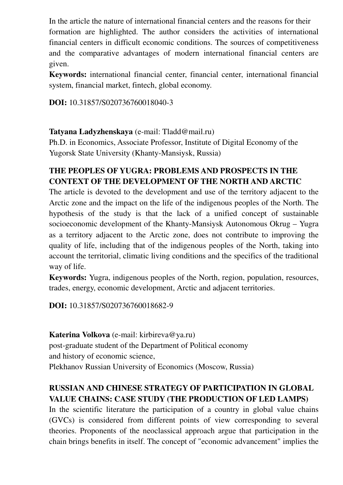In the article the nature of international financial centers and the reasons for their formation are highlighted. The author considers the activities of international financial centers in difficult economic conditions. The sources of competitiveness and the comparative advantages of modern international financial centers are given.

**Keywords:** international financial center, financial center, international financial system, financial market, fintech, global economy.

**DOI:** 10.31857/S020736760018040-3

#### **Tatyana Ladyzhenskaya** (е-mail: Tladd@mail.ru)

Ph.D. in Economics, Associate Professor, Institute of Digital Economy of the Yugorsk State University (Khanty-Mansiysk, Russia)

## **THE PEOPLES OF YUGRA: PROBLEMS AND PROSPECTS IN THE CONTEXT OF THE DEVELOPMENT OF THE NORTH AND ARCTIC**

The article is devoted to the development and use of the territory adjacent to the Arctic zone and the impact on the life of the indigenous peoples of the North. The hypothesis of the study is that the lack of a unified concept of sustainable socioeconomic development of the Khanty-Mansiysk Autonomous Okrug – Yugra as a territory adjacent to the Arctic zone, does not contribute to improving the quality of life, including that of the indigenous peoples of the North, taking into account the territorial, climatic living conditions and the specifics of the traditional way of life.

**Keywords:** Yugra, indigenous peoples of the North, region, population, resources, trades, energy, economic development, Arctic and adjacent territories.

**DOI:** 10.31857/S020736760018682-9

**Katerina Volkova** (e-mail: kirbireva@ya.ru) post-graduate student of the Department of Political economy and history of economic science, Plekhanov Russian University of Economics (Moscow, Russia)

# **RUSSIAN AND CHINESE STRATEGY OF PARTICIPATION IN GLOBAL VALUE CHAINS: CASE STUDY (THE PRODUCTION OF LED LAMPS)**

In the scientific literature the participation of a country in global value chains (GVCs) is considered from different points of view corresponding to several theories. Proponents of the neoclassical approach argue that participation in the chain brings benefits in itself. The concept of "economic advancement" implies the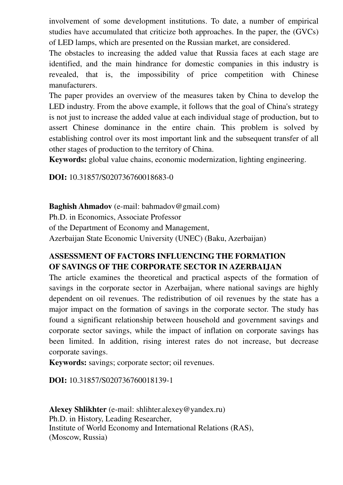involvement of some development institutions. To date, a number of empirical studies have accumulated that criticize both approaches. In the paper, the (GVCs) of LED lamps, which are presented on the Russian market, are considered.

The obstacles to increasing the added value that Russia faces at each stage are identified, and the main hindrance for domestic companies in this industry is revealed, that is, the impossibility of price competition with Chinese manufacturers.

The paper provides an overview of the measures taken by China to develop the LED industry. From the above example, it follows that the goal of China's strategy is not just to increase the added value at each individual stage of production, but to assert Chinese dominance in the entire chain. This problem is solved by establishing control over its most important link and the subsequent transfer of all other stages of production to the territory of China.

**Keywords:** global value chains, economic modernization, lighting engineering.

**DOI:** 10.31857/S020736760018683-0

#### **Baghish Ahmadov** (e-mail: bahmadov@gmail.com)

Ph.D. in Economics, Associate Professor

of the Department of Economy and Management,

Azerbaijan State Economic University (UNEC) (Baku, Azerbaijan)

## **ASSESSMENT OF FACTORS INFLUENCING THE FORMATION OF SAVINGS OF THE CORPORATE SECTOR IN AZERBAIJAN**

The article examines the theoretical and practical aspects of the formation of savings in the corporate sector in Azerbaijan, where national savings are highly dependent on oil revenues. The redistribution of oil revenues by the state has a major impact on the formation of savings in the corporate sector. The study has found a significant relationship between household and government savings and corporate sector savings, while the impact of inflation on corporate savings has been limited. In addition, rising interest rates do not increase, but decrease corporate savings.

**Keywords:** savings; corporate sector; oil revenues.

**DOI:** 10.31857/S020736760018139-1

**Alexey Shlikhter** (e-mail: shlihter.alexey@yandex.ru) Ph.D. in History, Leading Researcher, Institute of World Economy and International Relations (RAS), (Moscow, Russia)